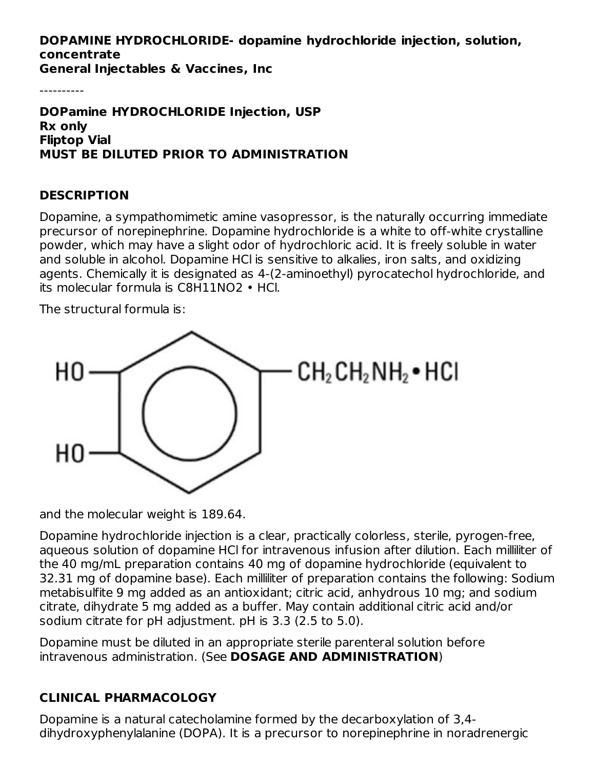**DOPAMINE HYDROCHLORIDE- dopamine hydrochloride injection, solution, concentrate General Injectables & Vaccines, Inc**

----------

**DOPamine HYDROCHLORIDE Injection, USP Rx only Fliptop Vial MUST BE DILUTED PRIOR TO ADMINISTRATION**

#### **DESCRIPTION**

Dopamine, a sympathomimetic amine vasopressor, is the naturally occurring immediate precursor of norepinephrine. Dopamine hydrochloride is a white to off-white crystalline powder, which may have a slight odor of hydrochloric acid. It is freely soluble in water and soluble in alcohol. Dopamine HCl is sensitive to alkalies, iron salts, and oxidizing agents. Chemically it is designated as 4-(2-aminoethyl) pyrocatechol hydrochloride, and its molecular formula is C8H11NO2 • HCl.

The structural formula is:



and the molecular weight is 189.64.

Dopamine hydrochloride injection is a clear, practically colorless, sterile, pyrogen-free, aqueous solution of dopamine HCl for intravenous infusion after dilution. Each milliliter of the 40 mg/mL preparation contains 40 mg of dopamine hydrochloride (equivalent to 32.31 mg of dopamine base). Each milliliter of preparation contains the following: Sodium metabisulfite 9 mg added as an antioxidant; citric acid, anhydrous 10 mg; and sodium citrate, dihydrate 5 mg added as a buffer. May contain additional citric acid and/or sodium citrate for pH adjustment. pH is 3.3 (2.5 to 5.0).

Dopamine must be diluted in an appropriate sterile parenteral solution before intravenous administration. (See **DOSAGE AND ADMINISTRATION**)

### **CLINICAL PHARMACOLOGY**

Dopamine is a natural catecholamine formed by the decarboxylation of 3,4 dihydroxyphenylalanine (DOPA). It is a precursor to norepinephrine in noradrenergic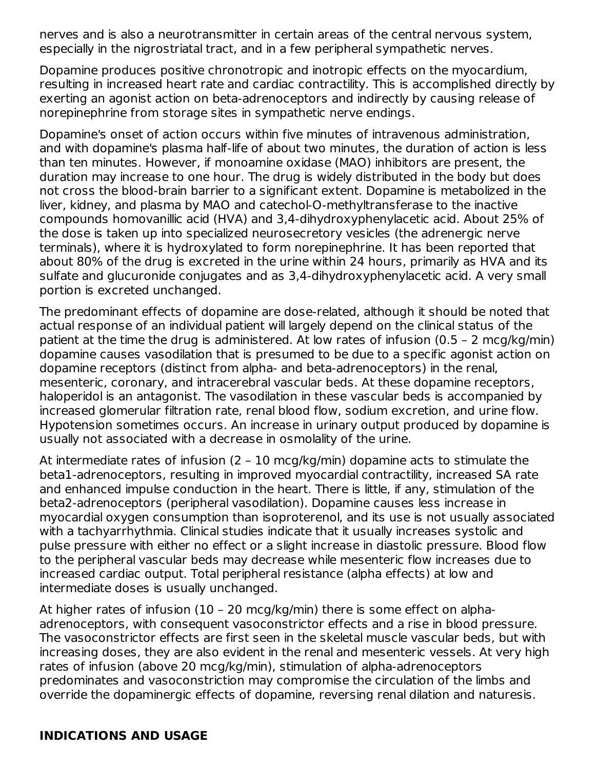nerves and is also a neurotransmitter in certain areas of the central nervous system, especially in the nigrostriatal tract, and in a few peripheral sympathetic nerves.

Dopamine produces positive chronotropic and inotropic effects on the myocardium, resulting in increased heart rate and cardiac contractility. This is accomplished directly by exerting an agonist action on beta-adrenoceptors and indirectly by causing release of norepinephrine from storage sites in sympathetic nerve endings.

Dopamine's onset of action occurs within five minutes of intravenous administration, and with dopamine's plasma half-life of about two minutes, the duration of action is less than ten minutes. However, if monoamine oxidase (MAO) inhibitors are present, the duration may increase to one hour. The drug is widely distributed in the body but does not cross the blood-brain barrier to a significant extent. Dopamine is metabolized in the liver, kidney, and plasma by MAO and catechol-O-methyltransferase to the inactive compounds homovanillic acid (HVA) and 3,4-dihydroxyphenylacetic acid. About 25% of the dose is taken up into specialized neurosecretory vesicles (the adrenergic nerve terminals), where it is hydroxylated to form norepinephrine. It has been reported that about 80% of the drug is excreted in the urine within 24 hours, primarily as HVA and its sulfate and glucuronide conjugates and as 3,4-dihydroxyphenylacetic acid. A very small portion is excreted unchanged.

The predominant effects of dopamine are dose-related, although it should be noted that actual response of an individual patient will largely depend on the clinical status of the patient at the time the drug is administered. At low rates of infusion (0.5 – 2 mcg/kg/min) dopamine causes vasodilation that is presumed to be due to a specific agonist action on dopamine receptors (distinct from alpha- and beta-adrenoceptors) in the renal, mesenteric, coronary, and intracerebral vascular beds. At these dopamine receptors, haloperidol is an antagonist. The vasodilation in these vascular beds is accompanied by increased glomerular filtration rate, renal blood flow, sodium excretion, and urine flow. Hypotension sometimes occurs. An increase in urinary output produced by dopamine is usually not associated with a decrease in osmolality of the urine.

At intermediate rates of infusion (2 – 10 mcg/kg/min) dopamine acts to stimulate the beta1-adrenoceptors, resulting in improved myocardial contractility, increased SA rate and enhanced impulse conduction in the heart. There is little, if any, stimulation of the beta2-adrenoceptors (peripheral vasodilation). Dopamine causes less increase in myocardial oxygen consumption than isoproterenol, and its use is not usually associated with a tachyarrhythmia. Clinical studies indicate that it usually increases systolic and pulse pressure with either no effect or a slight increase in diastolic pressure. Blood flow to the peripheral vascular beds may decrease while mesenteric flow increases due to increased cardiac output. Total peripheral resistance (alpha effects) at low and intermediate doses is usually unchanged.

At higher rates of infusion (10 – 20 mcg/kg/min) there is some effect on alphaadrenoceptors, with consequent vasoconstrictor effects and a rise in blood pressure. The vasoconstrictor effects are first seen in the skeletal muscle vascular beds, but with increasing doses, they are also evident in the renal and mesenteric vessels. At very high rates of infusion (above 20 mcg/kg/min), stimulation of alpha-adrenoceptors predominates and vasoconstriction may compromise the circulation of the limbs and override the dopaminergic effects of dopamine, reversing renal dilation and naturesis.

#### **INDICATIONS AND USAGE**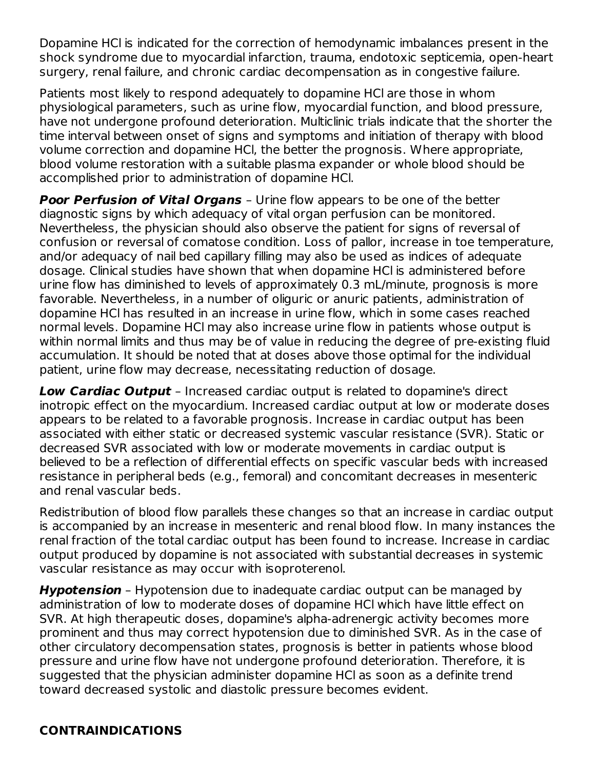Dopamine HCl is indicated for the correction of hemodynamic imbalances present in the shock syndrome due to myocardial infarction, trauma, endotoxic septicemia, open-heart surgery, renal failure, and chronic cardiac decompensation as in congestive failure.

Patients most likely to respond adequately to dopamine HCl are those in whom physiological parameters, such as urine flow, myocardial function, and blood pressure, have not undergone profound deterioration. Multiclinic trials indicate that the shorter the time interval between onset of signs and symptoms and initiation of therapy with blood volume correction and dopamine HCl, the better the prognosis. Where appropriate, blood volume restoration with a suitable plasma expander or whole blood should be accomplished prior to administration of dopamine HCl.

**Poor Perfusion of Vital Organs** – Urine flow appears to be one of the better diagnostic signs by which adequacy of vital organ perfusion can be monitored. Nevertheless, the physician should also observe the patient for signs of reversal of confusion or reversal of comatose condition. Loss of pallor, increase in toe temperature, and/or adequacy of nail bed capillary filling may also be used as indices of adequate dosage. Clinical studies have shown that when dopamine HCl is administered before urine flow has diminished to levels of approximately 0.3 mL/minute, prognosis is more favorable. Nevertheless, in a number of oliguric or anuric patients, administration of dopamine HCl has resulted in an increase in urine flow, which in some cases reached normal levels. Dopamine HCl may also increase urine flow in patients whose output is within normal limits and thus may be of value in reducing the degree of pre-existing fluid accumulation. It should be noted that at doses above those optimal for the individual patient, urine flow may decrease, necessitating reduction of dosage.

**Low Cardiac Output** – Increased cardiac output is related to dopamine's direct inotropic effect on the myocardium. Increased cardiac output at low or moderate doses appears to be related to a favorable prognosis. Increase in cardiac output has been associated with either static or decreased systemic vascular resistance (SVR). Static or decreased SVR associated with low or moderate movements in cardiac output is believed to be a reflection of differential effects on specific vascular beds with increased resistance in peripheral beds (e.g., femoral) and concomitant decreases in mesenteric and renal vascular beds.

Redistribution of blood flow parallels these changes so that an increase in cardiac output is accompanied by an increase in mesenteric and renal blood flow. In many instances the renal fraction of the total cardiac output has been found to increase. Increase in cardiac output produced by dopamine is not associated with substantial decreases in systemic vascular resistance as may occur with isoproterenol.

**Hypotension** – Hypotension due to inadequate cardiac output can be managed by administration of low to moderate doses of dopamine HCl which have little effect on SVR. At high therapeutic doses, dopamine's alpha-adrenergic activity becomes more prominent and thus may correct hypotension due to diminished SVR. As in the case of other circulatory decompensation states, prognosis is better in patients whose blood pressure and urine flow have not undergone profound deterioration. Therefore, it is suggested that the physician administer dopamine HCl as soon as a definite trend toward decreased systolic and diastolic pressure becomes evident.

# **CONTRAINDICATIONS**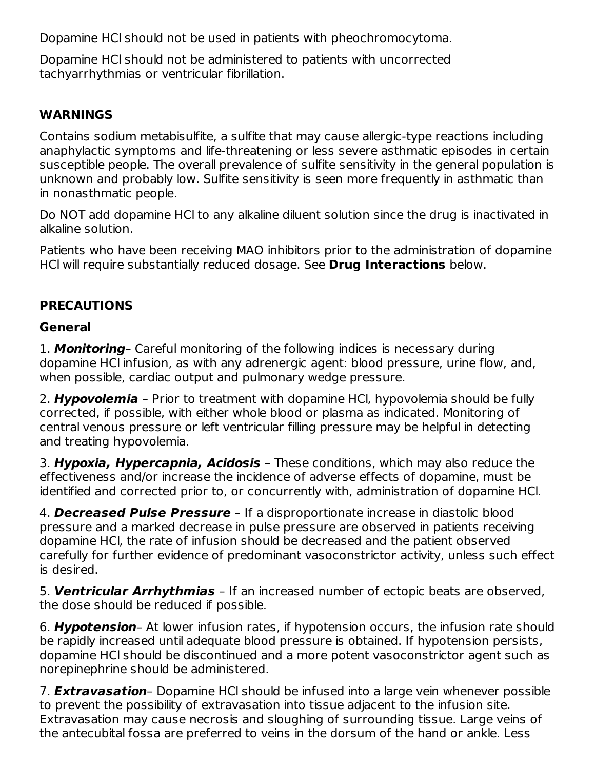Dopamine HCl should not be used in patients with pheochromocytoma.

Dopamine HCl should not be administered to patients with uncorrected tachyarrhythmias or ventricular fibrillation.

#### **WARNINGS**

Contains sodium metabisulfite, a sulfite that may cause allergic-type reactions including anaphylactic symptoms and life-threatening or less severe asthmatic episodes in certain susceptible people. The overall prevalence of sulfite sensitivity in the general population is unknown and probably low. Sulfite sensitivity is seen more frequently in asthmatic than in nonasthmatic people.

Do NOT add dopamine HCl to any alkaline diluent solution since the drug is inactivated in alkaline solution.

Patients who have been receiving MAO inhibitors prior to the administration of dopamine HCl will require substantially reduced dosage. See **Drug Interactions** below.

### **PRECAUTIONS**

#### **General**

1. **Monitoring**– Careful monitoring of the following indices is necessary during dopamine HCl infusion, as with any adrenergic agent: blood pressure, urine flow, and, when possible, cardiac output and pulmonary wedge pressure.

2. **Hypovolemia** – Prior to treatment with dopamine HCl, hypovolemia should be fully corrected, if possible, with either whole blood or plasma as indicated. Monitoring of central venous pressure or left ventricular filling pressure may be helpful in detecting and treating hypovolemia.

3. **Hypoxia, Hypercapnia, Acidosis** – These conditions, which may also reduce the effectiveness and/or increase the incidence of adverse effects of dopamine, must be identified and corrected prior to, or concurrently with, administration of dopamine HCl.

4. **Decreased Pulse Pressure** – If a disproportionate increase in diastolic blood pressure and a marked decrease in pulse pressure are observed in patients receiving dopamine HCl, the rate of infusion should be decreased and the patient observed carefully for further evidence of predominant vasoconstrictor activity, unless such effect is desired.

5. **Ventricular Arrhythmias** – If an increased number of ectopic beats are observed, the dose should be reduced if possible.

6. **Hypotension**– At lower infusion rates, if hypotension occurs, the infusion rate should be rapidly increased until adequate blood pressure is obtained. If hypotension persists, dopamine HCl should be discontinued and a more potent vasoconstrictor agent such as norepinephrine should be administered.

7. **Extravasation**– Dopamine HCl should be infused into a large vein whenever possible to prevent the possibility of extravasation into tissue adjacent to the infusion site. Extravasation may cause necrosis and sloughing of surrounding tissue. Large veins of the antecubital fossa are preferred to veins in the dorsum of the hand or ankle. Less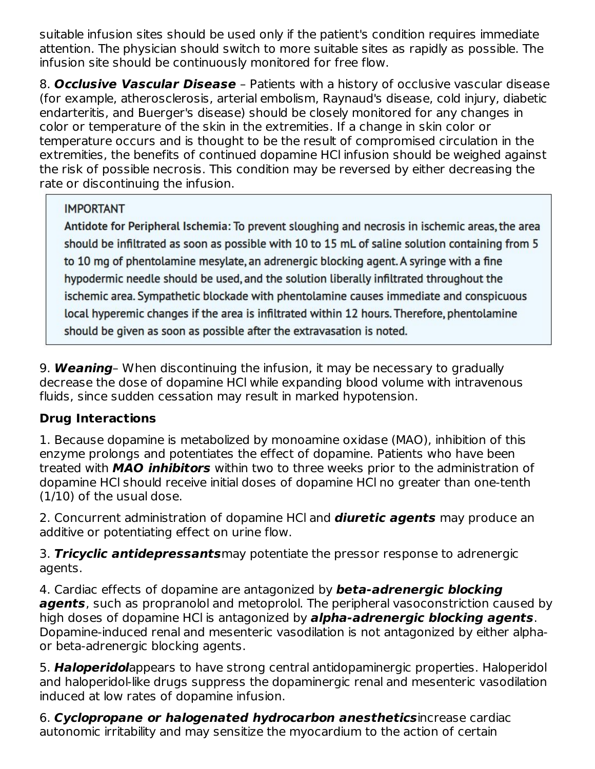suitable infusion sites should be used only if the patient's condition requires immediate attention. The physician should switch to more suitable sites as rapidly as possible. The infusion site should be continuously monitored for free flow.

8. **Occlusive Vascular Disease** – Patients with a history of occlusive vascular disease (for example, atherosclerosis, arterial embolism, Raynaud's disease, cold injury, diabetic endarteritis, and Buerger's disease) should be closely monitored for any changes in color or temperature of the skin in the extremities. If a change in skin color or temperature occurs and is thought to be the result of compromised circulation in the extremities, the benefits of continued dopamine HCl infusion should be weighed against the risk of possible necrosis. This condition may be reversed by either decreasing the rate or discontinuing the infusion.

#### **IMPORTANT**

Antidote for Peripheral Ischemia: To prevent sloughing and necrosis in ischemic areas, the area should be infiltrated as soon as possible with 10 to 15 mL of saline solution containing from 5 to 10 mg of phentolamine mesylate, an adrenergic blocking agent. A syringe with a fine hypodermic needle should be used, and the solution liberally infiltrated throughout the ischemic area. Sympathetic blockade with phentolamine causes immediate and conspicuous local hyperemic changes if the area is infiltrated within 12 hours. Therefore, phentolamine should be given as soon as possible after the extravasation is noted.

9. **Weaning**– When discontinuing the infusion, it may be necessary to gradually decrease the dose of dopamine HCl while expanding blood volume with intravenous fluids, since sudden cessation may result in marked hypotension.

# **Drug Interactions**

1. Because dopamine is metabolized by monoamine oxidase (MAO), inhibition of this enzyme prolongs and potentiates the effect of dopamine. Patients who have been treated with **MAO inhibitors** within two to three weeks prior to the administration of dopamine HCl should receive initial doses of dopamine HCl no greater than one-tenth (1/10) of the usual dose.

2. Concurrent administration of dopamine HCl and **diuretic agents** may produce an additive or potentiating effect on urine flow.

3. **Tricyclic antidepressants**may potentiate the pressor response to adrenergic agents.

4. Cardiac effects of dopamine are antagonized by **beta-adrenergic blocking agents**, such as propranolol and metoprolol. The peripheral vasoconstriction caused by high doses of dopamine HCl is antagonized by **alpha-adrenergic blocking agents**. Dopamine-induced renal and mesenteric vasodilation is not antagonized by either alphaor beta-adrenergic blocking agents.

5. **Haloperidol**appears to have strong central antidopaminergic properties. Haloperidol and haloperidol-like drugs suppress the dopaminergic renal and mesenteric vasodilation induced at low rates of dopamine infusion.

6. **Cyclopropane or halogenated hydrocarbon anesthetics**increase cardiac autonomic irritability and may sensitize the myocardium to the action of certain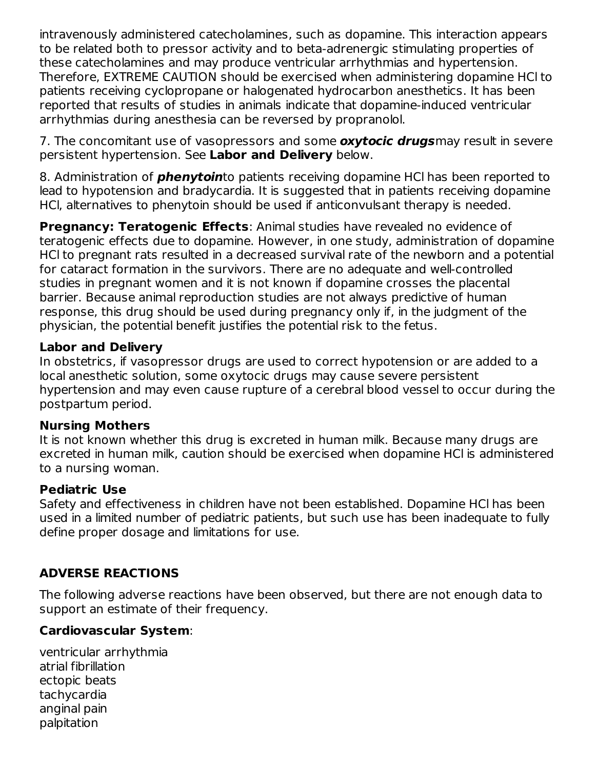intravenously administered catecholamines, such as dopamine. This interaction appears to be related both to pressor activity and to beta-adrenergic stimulating properties of these catecholamines and may produce ventricular arrhythmias and hypertension. Therefore, EXTREME CAUTION should be exercised when administering dopamine HCl to patients receiving cyclopropane or halogenated hydrocarbon anesthetics. It has been reported that results of studies in animals indicate that dopamine-induced ventricular arrhythmias during anesthesia can be reversed by propranolol.

7. The concomitant use of vasopressors and some **oxytocic drugs**may result in severe persistent hypertension. See **Labor and Delivery** below.

8. Administration of **phenytoin**to patients receiving dopamine HCl has been reported to lead to hypotension and bradycardia. It is suggested that in patients receiving dopamine HCl, alternatives to phenytoin should be used if anticonvulsant therapy is needed.

**Pregnancy: Teratogenic Effects**: Animal studies have revealed no evidence of teratogenic effects due to dopamine. However, in one study, administration of dopamine HCl to pregnant rats resulted in a decreased survival rate of the newborn and a potential for cataract formation in the survivors. There are no adequate and well-controlled studies in pregnant women and it is not known if dopamine crosses the placental barrier. Because animal reproduction studies are not always predictive of human response, this drug should be used during pregnancy only if, in the judgment of the physician, the potential benefit justifies the potential risk to the fetus.

#### **Labor and Delivery**

In obstetrics, if vasopressor drugs are used to correct hypotension or are added to a local anesthetic solution, some oxytocic drugs may cause severe persistent hypertension and may even cause rupture of a cerebral blood vessel to occur during the postpartum period.

#### **Nursing Mothers**

It is not known whether this drug is excreted in human milk. Because many drugs are excreted in human milk, caution should be exercised when dopamine HCl is administered to a nursing woman.

#### **Pediatric Use**

Safety and effectiveness in children have not been established. Dopamine HCl has been used in a limited number of pediatric patients, but such use has been inadequate to fully define proper dosage and limitations for use.

### **ADVERSE REACTIONS**

The following adverse reactions have been observed, but there are not enough data to support an estimate of their frequency.

#### **Cardiovascular System**:

ventricular arrhythmia atrial fibrillation ectopic beats tachycardia anginal pain palpitation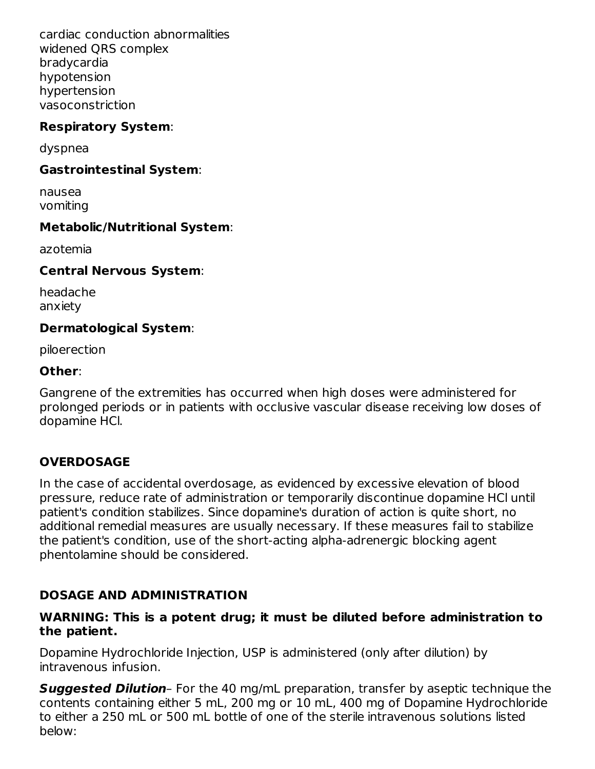cardiac conduction abnormalities widened QRS complex bradycardia hypotension hypertension vasoconstriction

#### **Respiratory System**:

dyspnea

#### **Gastrointestinal System**:

nausea vomiting

#### **Metabolic/Nutritional System**:

azotemia

#### **Central Nervous System**:

headache anxiety

#### **Dermatological System**:

piloerection

#### **Other**:

Gangrene of the extremities has occurred when high doses were administered for prolonged periods or in patients with occlusive vascular disease receiving low doses of dopamine HCl.

# **OVERDOSAGE**

In the case of accidental overdosage, as evidenced by excessive elevation of blood pressure, reduce rate of administration or temporarily discontinue dopamine HCl until patient's condition stabilizes. Since dopamine's duration of action is quite short, no additional remedial measures are usually necessary. If these measures fail to stabilize the patient's condition, use of the short-acting alpha-adrenergic blocking agent phentolamine should be considered.

### **DOSAGE AND ADMINISTRATION**

#### **WARNING: This is a potent drug; it must be diluted before administration to the patient.**

Dopamine Hydrochloride Injection, USP is administered (only after dilution) by intravenous infusion.

**Suggested Dilution**– For the 40 mg/mL preparation, transfer by aseptic technique the contents containing either 5 mL, 200 mg or 10 mL, 400 mg of Dopamine Hydrochloride to either a 250 mL or 500 mL bottle of one of the sterile intravenous solutions listed below: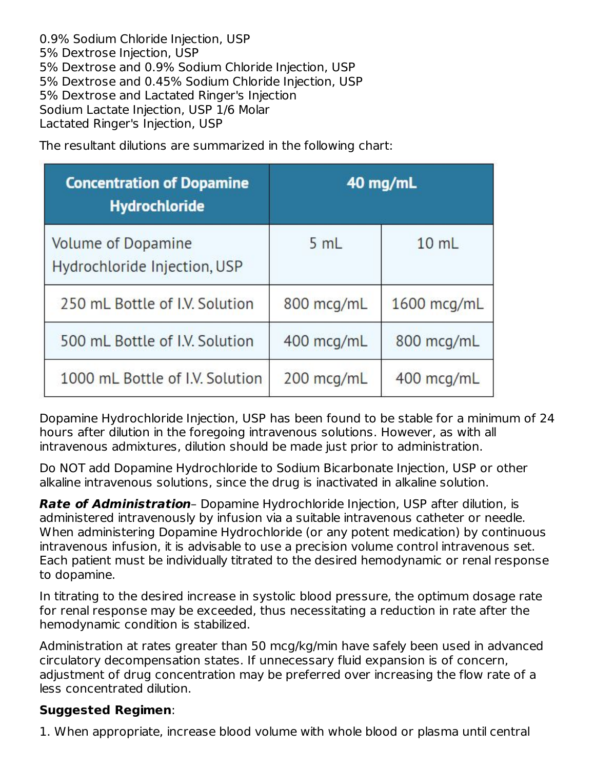0.9% Sodium Chloride Injection, USP 5% Dextrose Injection, USP 5% Dextrose and 0.9% Sodium Chloride Injection, USP 5% Dextrose and 0.45% Sodium Chloride Injection, USP 5% Dextrose and Lactated Ringer's Injection Sodium Lactate Injection, USP 1/6 Molar Lactated Ringer's Injection, USP

The resultant dilutions are summarized in the following chart:

| <b>Concentration of Dopamine</b><br><b>Hydrochloride</b> | 40 mg/mL   |                      |  |
|----------------------------------------------------------|------------|----------------------|--|
| Volume of Dopamine<br>Hydrochloride Injection, USP       | 5 mL       | $10$ mL              |  |
| 250 mL Bottle of I.V. Solution                           | 800 mcg/mL | 1600 mcg/mL          |  |
| 500 mL Bottle of I.V. Solution                           | 400 mcg/mL | 800 mcg/mL           |  |
| 1000 mL Bottle of I.V. Solution                          | 200 mcg/mL | $400 \text{ mcq/mL}$ |  |

Dopamine Hydrochloride Injection, USP has been found to be stable for a minimum of 24 hours after dilution in the foregoing intravenous solutions. However, as with all intravenous admixtures, dilution should be made just prior to administration.

Do NOT add Dopamine Hydrochloride to Sodium Bicarbonate Injection, USP or other alkaline intravenous solutions, since the drug is inactivated in alkaline solution.

**Rate of Administration**– Dopamine Hydrochloride Injection, USP after dilution, is administered intravenously by infusion via a suitable intravenous catheter or needle. When administering Dopamine Hydrochloride (or any potent medication) by continuous intravenous infusion, it is advisable to use a precision volume control intravenous set. Each patient must be individually titrated to the desired hemodynamic or renal response to dopamine.

In titrating to the desired increase in systolic blood pressure, the optimum dosage rate for renal response may be exceeded, thus necessitating a reduction in rate after the hemodynamic condition is stabilized.

Administration at rates greater than 50 mcg/kg/min have safely been used in advanced circulatory decompensation states. If unnecessary fluid expansion is of concern, adjustment of drug concentration may be preferred over increasing the flow rate of a less concentrated dilution.

### **Suggested Regimen**:

1. When appropriate, increase blood volume with whole blood or plasma until central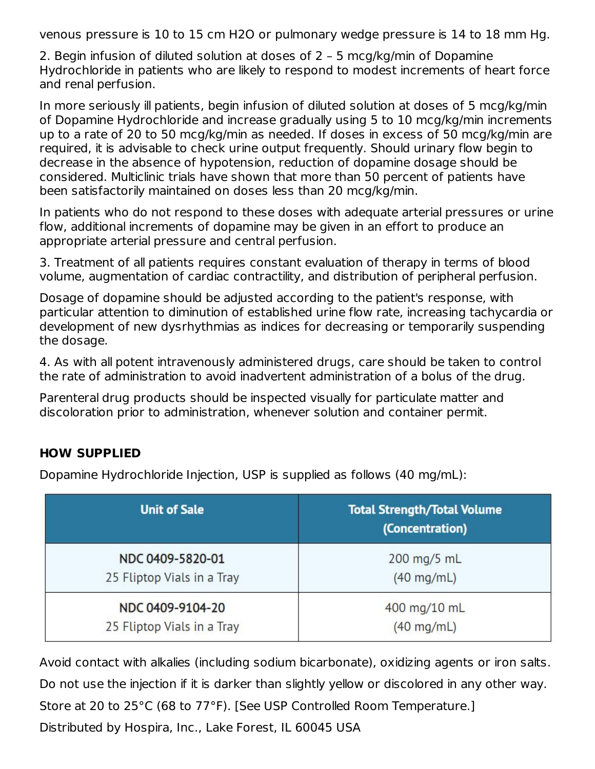venous pressure is 10 to 15 cm H2O or pulmonary wedge pressure is 14 to 18 mm Hg.

2. Begin infusion of diluted solution at doses of 2 – 5 mcg/kg/min of Dopamine Hydrochloride in patients who are likely to respond to modest increments of heart force and renal perfusion.

In more seriously ill patients, begin infusion of diluted solution at doses of 5 mcg/kg/min of Dopamine Hydrochloride and increase gradually using 5 to 10 mcg/kg/min increments up to a rate of 20 to 50 mcg/kg/min as needed. If doses in excess of 50 mcg/kg/min are required, it is advisable to check urine output frequently. Should urinary flow begin to decrease in the absence of hypotension, reduction of dopamine dosage should be considered. Multiclinic trials have shown that more than 50 percent of patients have been satisfactorily maintained on doses less than 20 mcg/kg/min.

In patients who do not respond to these doses with adequate arterial pressures or urine flow, additional increments of dopamine may be given in an effort to produce an appropriate arterial pressure and central perfusion.

3. Treatment of all patients requires constant evaluation of therapy in terms of blood volume, augmentation of cardiac contractility, and distribution of peripheral perfusion.

Dosage of dopamine should be adjusted according to the patient's response, with particular attention to diminution of established urine flow rate, increasing tachycardia or development of new dysrhythmias as indices for decreasing or temporarily suspending the dosage.

4. As with all potent intravenously administered drugs, care should be taken to control the rate of administration to avoid inadvertent administration of a bolus of the drug.

Parenteral drug products should be inspected visually for particulate matter and discoloration prior to administration, whenever solution and container permit.

# **HOW SUPPLIED**

Dopamine Hydrochloride Injection, USP is supplied as follows (40 mg/mL):

| <b>Unit of Sale</b>        | <b>Total Strength/Total Volume</b><br>(Concentration) |  |  |
|----------------------------|-------------------------------------------------------|--|--|
| NDC 0409-5820-01           | 200 mg/5 mL                                           |  |  |
| 25 Fliptop Vials in a Tray | $(40 \text{ mg/mL})$                                  |  |  |
| NDC 0409-9104-20           | 400 mg/10 mL                                          |  |  |
| 25 Fliptop Vials in a Tray | $(40 \text{ mg/mL})$                                  |  |  |

Avoid contact with alkalies (including sodium bicarbonate), oxidizing agents or iron salts. Do not use the injection if it is darker than slightly yellow or discolored in any other way. Store at 20 to 25°C (68 to 77°F). [See USP Controlled Room Temperature.] Distributed by Hospira, Inc., Lake Forest, IL 60045 USA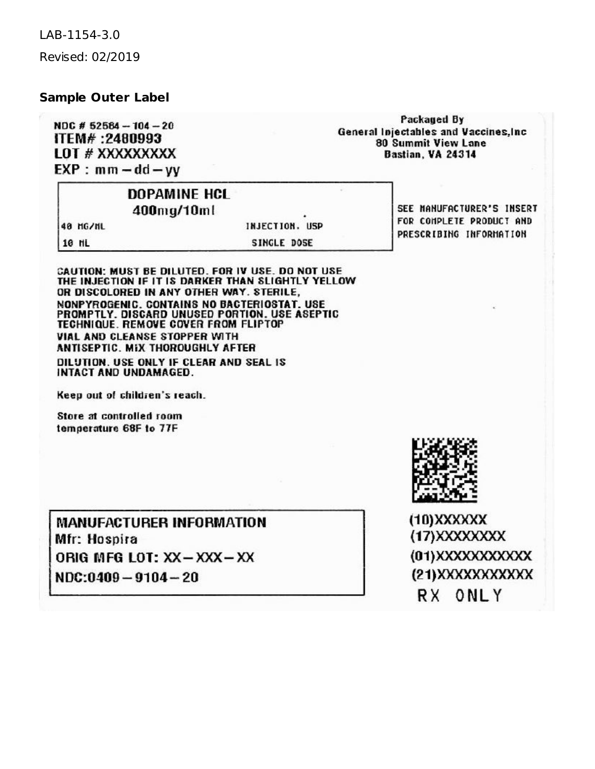LAB-1154-3.0 Revised: 02/2019

#### **Sample Outer Label**

NDC # 52584  $-104 - 20$ ITEM#:2480993 LOT # XXXXXXXXX  $EXP: mm - dd - vy$ 

Packaged By General Injectables and Vaccines, Inc. **80 Summit View Lane** Bastian, VA 24314

|          | DOPAMINE HCL<br>$400$ mg/10ml | SEE MANUFACTURER'S INSERT                                  |
|----------|-------------------------------|------------------------------------------------------------|
| 48 MG/ML | INJECTION, USP                | <b>FOR COMPLETE PRODUCT AND</b><br>PRESCRIBING INFORMATION |
| 10 ML    | SINGLE DOSE                   |                                                            |

CAUTION: MUST BE DILUTED. FOR IV USE. DO NOT USE THE INJECTION IF IT IS DARKER THAN SLIGHTLY YELLOW OR DISCOLORED IN ANY OTHER WAY. STERILE, NONPYROGENIC, CONTAINS NO BACTERIOSTAT, USE<br>PROMPTLY, DISCARD UNUSED PORTION, USE ASEPTIC<br>TECHNIQUE, REMOVE COVER FROM FLIPTOP VIAL AND CLEANSE STOPPER WITH **ANTISEPTIC. MIX THOROUGHLY AFTER** DILUTION. USE ONLY IF CLEAR AND SEAL IS INTACT AND UNDAMAGED.

Keep out of children's reach.

Store at controlled room temperature 68F to 77F

**MANUFACTURER INFORMATION** Mfr: Hospira ORIG MFG LOT: XX-XXX-XX  $NDC:0409 - 9104 - 20$ 



(10) XXXXXX  $(17)$ XXXXXXXX (01) XXXXXXXXXXX (21) XXXXXXXXXXX RX ONLY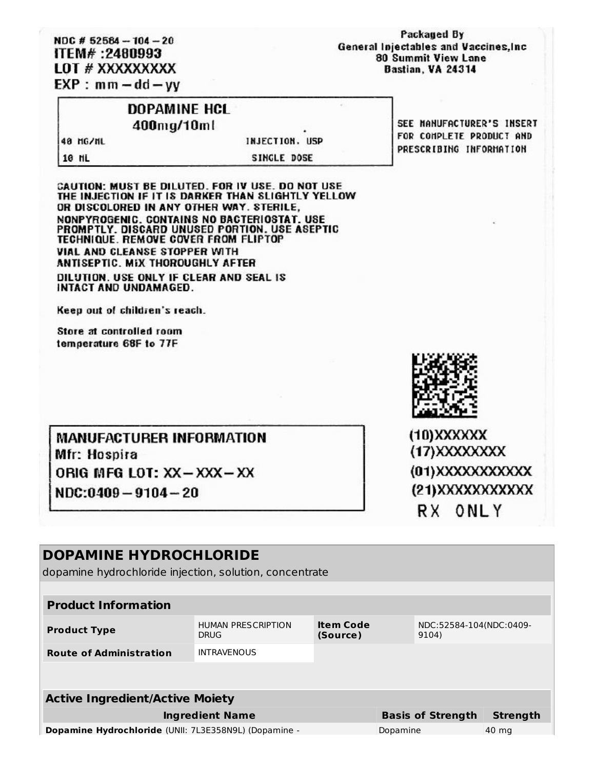NDC # 52584  $-104 - 20$ ITEM#:2480993 LOT # XXXXXXXXX

Packaged By General Injectables and Vaccines.Inc **80 Summit View Lane** Bastian, VA 24314

|  |  |  |  | EXP:mm — dd — yy |
|--|--|--|--|------------------|
|--|--|--|--|------------------|

#### DOPAMINE HCL 400mg/10ml

48 MG/ML 10 HL

INJECTION, USP

SINGLE DOSE

CAUTION: MUST BE DILUTED. FOR IV USE. DO NOT USE THE INJECTION IF IT IS DARKER THAN SLIGHTLY YELLOW OR DISCOLORED IN ANY OTHER WAY. STERILE, NONPYROGENIC, CONTAINS NO BACTERIOSTAT, USE<br>PROMPTLY, DISCARD UNUSED PORTION, USE ASEPTIC<br>TECHNIQUE, REMOVE COVER FROM FLIPTOP VIAL AND CLEANSE STOPPER WITH ANTISEPTIC, MIX THOROUGHLY AFTER

DILUTION. USE ONLY IF CLEAR AND SEAL IS INTACT AND UNDAMAGED.

Keep out of children's reach.

Store at controlled room temperature 68F to 77F

**MANUFACTURER INFORMATION** Mfr: Hospira ORIG MFG LOT: XX - XXX - XX  $NDC: 0409 - 9104 - 20$ 

# FOR COMPLETE PRODUCT AND PRESCRIBING INFORMATION

**SEE MANUFACTURER'S INSERT** 



(10)XXXXXX  $(17)$ XXXXXXXX (01)XXXXXXXXXXX (21)XXXXXXXXXXX RX ONLY

#### **DOPAMINE HYDROCHLORIDE**

dopamine hydrochloride injection, solution, concentrate

| <b>Product Information</b>             |                                          |                              |                                  |  |
|----------------------------------------|------------------------------------------|------------------------------|----------------------------------|--|
| <b>Product Type</b>                    | <b>HUMAN PRESCRIPTION</b><br><b>DRUG</b> | <b>Item Code</b><br>(Source) | NDC:52584-104(NDC:0409-<br>9104) |  |
| <b>Route of Administration</b>         | <b>INTRAVENOUS</b>                       |                              |                                  |  |
|                                        |                                          |                              |                                  |  |
| <b>Active Ingredient/Active Moiety</b> |                                          |                              |                                  |  |

**Ingredient Name Basis of Strength Strength**

**Dopamine Hydrochloride** (UNII: 7L3E358N9L) (Dopamine - Dopamine - Dopamine 40 mg